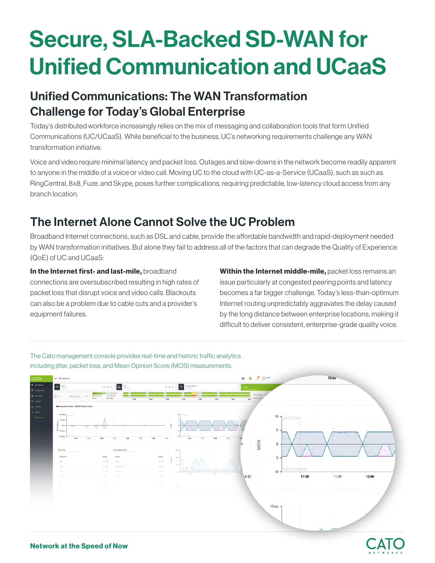# **Secure, SLA-Backed SD-WAN for Unified Communication and UCaaS**

## Unified Communications: The WAN Transformation Challenge for Today's Global Enterprise

Today's distributed workforce increasingly relies on the mix of messaging and collaboration tools that form Unified Communications (UC/UCaaS). While beneficial to the business, UC's networking requirements challenge any WAN transformation initiative.

Voice and video require minimal latency and packet loss. Outages and slow-downs in the network become readily apparent to anyone in the middle of a voice or video call. Moving UC to the cloud with UC-as-a-Service (UCaaS), such as such as Ring Central, 8x8, Fuze, and Skype, poses further complications, requiring predictable, low-latency cloud access from any branch location.

## The Internet Alone Cannot Solve the UC Problem

Broadband Internet connections, such as DSL and cable, provide the affordable bandwidth and rapid-deployment needed by WAN transformation initiatives. But alone they fail to address all of the factors that can degrade the Quality of Experience (QoE) of UC and UCaaS:

In the Internet first- and last-mile, broadband connections are oversubscribed resulting in high rates of

packet loss that disrupt voice and video calls. Blackouts can also be a problem due to cable cuts and a provider's equipment failures.

**Within the Internet middle-mile,** packet loss remains an issue particularly at congested peering points and latency becomes a far bigger challenge. Today's less-than-optimum Internet routing unpredictably aggravates the delay caused by the long distance between enterprise locations, making it difficult to deliver consistent, enterprise-grade quality voice.

The Cato management console provides real-time and historic traffic analytics including jitter, packet loss, and Mean Opinion Score (MOS) measurements.